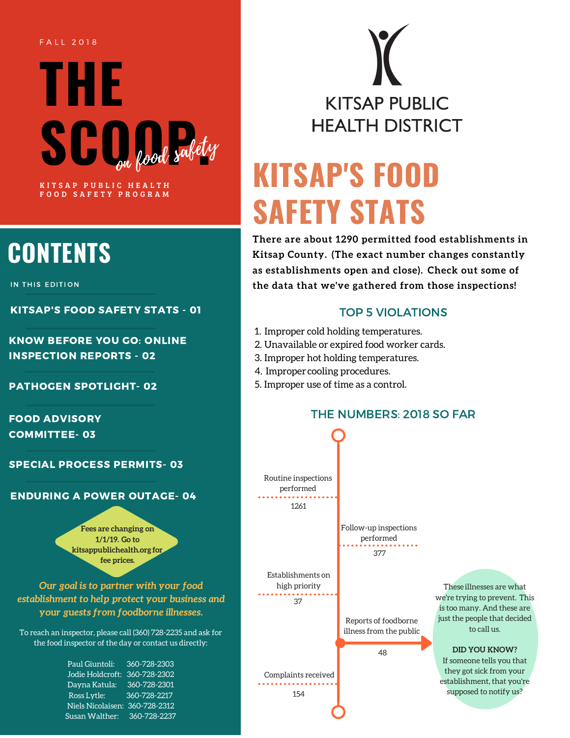#### F A L L 2 0 1 8

# **THE**  $S\bigcup_{\text{on}}\bigcup_{\text{good}}\text{subty}$ KITSAP PUBLIC HEALTH

FOOD SAFETY PROGRAM

## **CONTENTS**

IN THIS EDITION

KITSAP'S FOOD SAFETY STATS - 01

KNOW BEFORE YOU GO: ONLINE INSPECTION REPORTS - 02

#### PATHOGEN SPOTLIGHT- 02

FOOD ADVISORY COMMITTEE- 03

SPECIAL PROCESS PERMITS- 03

#### ENDURING A POWER OUTAGE- 04

**Fees are changing on 1/1/19. Go to [kitsappublichealth.org](http://kitsappublichealth.org/) for fee prices.**

*Our goal is to partner with your food establishment to help protect your business and your guests from foodborne illnesses.*

To reach an inspector, please call (360) 728-2235 and ask for the food inspector of the day or contact us directly:

| Paul Giuntoli:    | 360-728-2303 |
|-------------------|--------------|
| Jodie Holdcroft:  | 360-728-2302 |
| Dayna Katula:     | 360-728-2301 |
| Ross Lytle:       | 360-728-2217 |
| Niels Nicolaisen: | 360-728-2312 |
| Susan Walther:    | 360-728-2237 |
|                   |              |

**KITSAP PUBLIC HEALTH DISTRICT** 

## **KITSAP'S FOOD SAFETY STATS**

**There are about 1290 permitted food establishments in Kitsap County. (The exact number changes constantly as establishments open and close). Check out some of the data that we've gathered from those inspections!**

#### TOP 5 VIOLATIONS

- 1. Improper cold holding temperatures.
- 2. Unavailable or expired food worker cards.
- 3. Improper hot holding temperatures.
- 4. Improper cooling procedures.
- 5. Improper use of time as a control.

#### THE NUMBERS: 2018 SO FAR

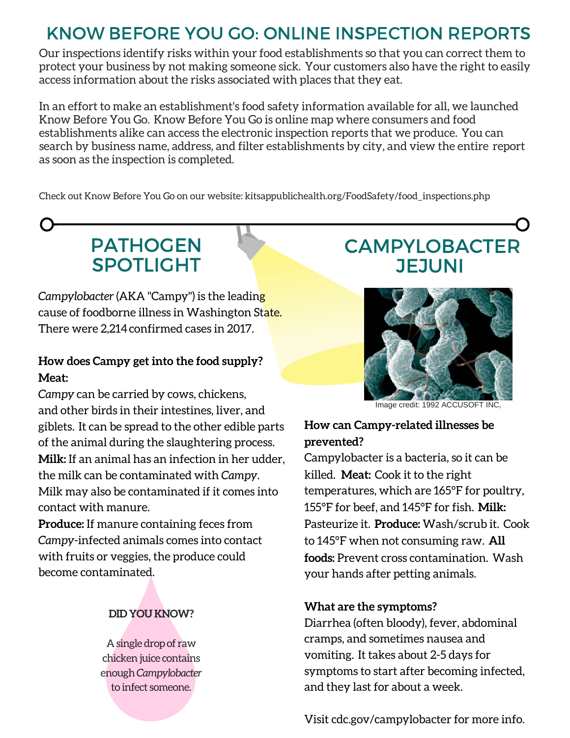### KNOW BEFORE YOU GO: ONLINE INSPECTION REPORTS

Our inspections identify risks within your food establishments so that you can correct them to protect your business by not making someone sick. Your customers also have the right to easily access information about the risks associated with places that they eat.

In an effort to make an [establishment's](http://kitsappublichealth.org/FoodSafety/food_inspections.php) food safety information available for all, we launched Know Before You Go. Know Before You Go is online map where consumers and food establishments alike can access the electronic inspection reports that we produce. You can search by business name, address, and filter establishments by city, and view the entire report as soon as the inspection is completed.

Check out Know Before You Go on our website: [kitsappublichealth.org/FoodSafety/food\\_inspections.php](http://www.kitsappublichealth.org/FoodSafety/food_inspections.php)

### PATHOGEN SPOTLIGHT

*Campylobacter* (AKA "Campy") is the leading cause of foodborne illness in Washington State. There were 2,214confirmed cases in 2017.

### **How does Campy get into the food supply? Meat:**

*Campy* can be carried by cows, chickens, and other birds in their intestines, liver, and giblets. It can be spread to the other edible parts of the animal during the slaughtering process. **Milk:** If an animal has an infection in her udder, the milk can be contaminated with *Campy*. Milk may also be contaminated if it comes into contact with manure.

**Produce:** If manure containing feces from *Campy*-infected animals comes into contact with fruits or veggies, the produce could become contaminated.

### **DID YOU KNOW?**

A single drop of raw chicken juice contains enough*Campylobacter* to infect someone.

### CAMPYLOBACTER **JEJUNI**



Image credit: 1992 ACCUSOFT INC,

### **How can Campy-related illnesses be prevented?**

Campylobacter is a bacteria, so it can be killed. **Meat:** Cook it to the right temperatures, which are 165°F for poultry, 155°F for beef, and 145°F for fish. **Milk:** Pasteurize it. **Produce:** Wash/scrub it. Cook to 145°F when not consuming raw. **All foods:** Prevent cross contamination. Wash your hands after petting animals.

### **What are the symptoms?**

Diarrhea (often bloody), fever, abdominal cramps, and sometimes nausea and vomiting. It takes about 2-5 days for symptoms to start after becoming infected, and they last for about a week.

Visit [cdc.gov/campylobacter](https://www.cdc.gov/campylobacter/) for more info.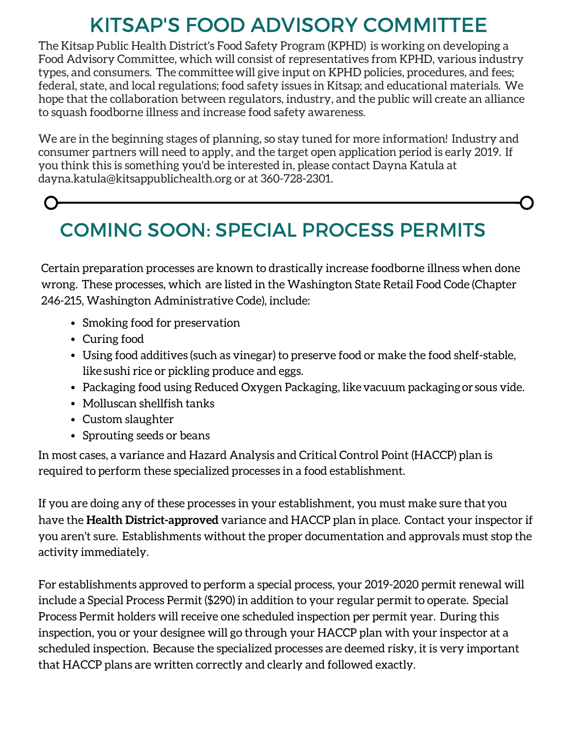### KITSAP'S FOOD ADVISORY COMMITTEE

The Kitsap Public Health District's Food Safety Program (KPHD) is working on developing a Food Advisory Committee, which will consist of representatives from KPHD, various industry types, and consumers. The committeewill give input on KPHD policies, procedures, and fees; federal, state, and local regulations; food safety issues in Kitsap; and educational materials. We hope that the collaboration between regulators, industry, and the public will create an alliance to squash foodborne illness and increase food safety awareness.

We are in the beginning stages of planning, so stay tuned for more information! Industry and consumer partners will need to apply, and the target open application period is early 2019. If you think this is something you'd be interested in, please contact Dayna Katula at [dayna.katula@kitsappublichealth.org](http://kitsappublichealth.org/FoodSafety/food_inspections.php) or at 360-728-2301.

### COMING SOON: SPECIAL PROCESS PERMITS

Certain preparation processes are known to drastically increase foodborne illness when done wrong. These processes, which are listed in the Washington State Retail Food Code (Chapter 246-215, Washington Administrative Code), include:

- Smoking food for preservation
- Curing food
- Using food additives (such as vinegar) to preserve food or make the food shelf-stable, like sushi rice or pickling produce and eggs.
- Packaging food using Reduced Oxygen Packaging, likevacuum packagingor sous vide.
- Molluscan shellfish tanks
- Custom slaughter
- Sprouting seeds or beans

In most cases, a variance and Hazard Analysis and Critical Control Point (HACCP) plan is required to perform these specialized processes in a food establishment.

If you are doing any of these processes in your establishment, you must make sure thatyou have the **Health District-approved** variance and HACCP plan in place. Contact your inspector if you aren't sure. Establishments without the proper documentation and approvals must stop the activity immediately.

For establishments approved to perform a special process, your 2019-2020 permit renewal will include a Special Process Permit (\$290) in addition to your regular permit to operate. Special Process Permit holders will receive one scheduled inspection per permit year. During this inspection, you or your designee will go through your HACCP plan with your inspector at a scheduled inspection. Because the specialized processes are deemed risky, it is very important that HACCP plans are written correctly and clearly and followed exactly.